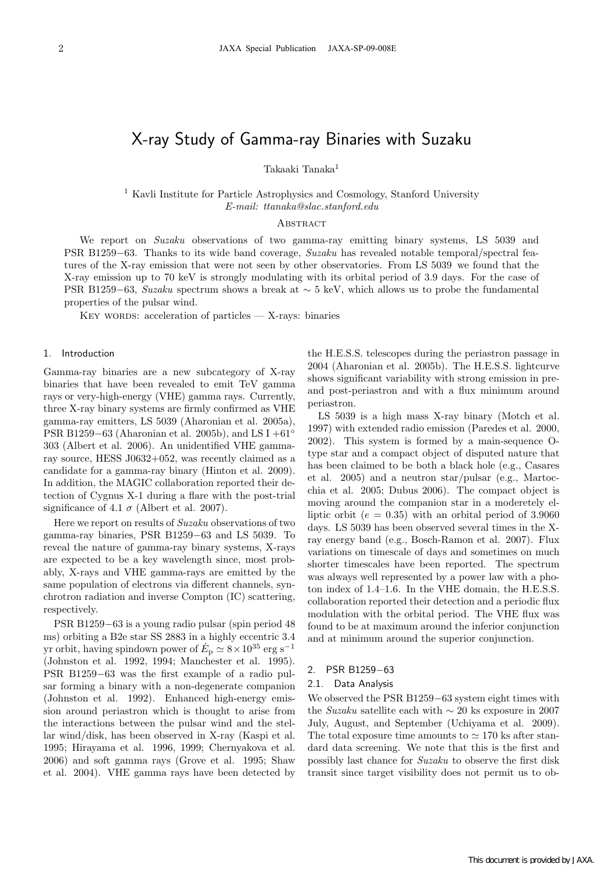# X-ray Study of Gamma-ray Binaries with Suzaku

Takaaki Tanaka<sup>1</sup>

<sup>1</sup> Kavli Institute for Particle Astrophysics and Cosmology, Stanford University *E-mail: ttanaka@slac.stanford.edu*

## **ABSTRACT**

We report on *Suzaku* observations of two gamma-ray emitting binary systems, LS 5039 and PSR B1259*−*63. Thanks to its wide band coverage, *Suzaku* has revealed notable temporal/spectral features of the X-ray emission that were not seen by other observatories. From LS 5039 we found that the X-ray emission up to 70 keV is strongly modulating with its orbital period of 3.9 days. For the case of PSR B1259*−*63, *Suzaku* spectrum shows a break at *∼* 5 keV, which allows us to probe the fundamental properties of the pulsar wind.

KEY WORDS: acceleration of particles  $-$  X-rays: binaries

#### 1. Introduction

Gamma-ray binaries are a new subcategory of X-ray binaries that have been revealed to emit TeV gamma rays or very-high-energy (VHE) gamma rays. Currently, three X-ray binary systems are firmly confirmed as VHE gamma-ray emitters, LS 5039 (Aharonian et al. 2005a), PSR B1259*−*63 (Aharonian et al. 2005b), and LS I +61*◦* 303 (Albert et al. 2006). An unidentified VHE gammaray source, HESS J0632+052, was recently claimed as a candidate for a gamma-ray binary (Hinton et al. 2009). In addition, the MAGIC collaboration reported their detection of Cygnus X-1 during a flare with the post-trial significance of 4.1  $\sigma$  (Albert et al. 2007).

Here we report on results of *Suzaku* observations of two gamma-ray binaries, PSR B1259*−*63 and LS 5039. To reveal the nature of gamma-ray binary systems, X-rays are expected to be a key wavelength since, most probably, X-rays and VHE gamma-rays are emitted by the same population of electrons via different channels, synchrotron radiation and inverse Compton (IC) scattering, respectively.

PSR B1259*−*63 is a young radio pulsar (spin period 48 ms) orbiting a B2e star SS 2883 in a highly eccentric 3.4 yr orbit, having spindown power of  $E_p \simeq 8 \times 10^{35}$  erg s<sup>-1</sup> (Johnston et al. 1992, 1994; Manchester et al. 1995). PSR B1259*−*63 was the first example of a radio pulsar forming a binary with a non-degenerate companion (Johnston et al. 1992). Enhanced high-energy emission around periastron which is thought to arise from the interactions between the pulsar wind and the stellar wind/disk, has been observed in X-ray (Kaspi et al. 1995; Hirayama et al. 1996, 1999; Chernyakova et al. 2006) and soft gamma rays (Grove et al. 1995; Shaw et al. 2004). VHE gamma rays have been detected by the H.E.S.S. telescopes during the periastron passage in 2004 (Aharonian et al. 2005b). The H.E.S.S. lightcurve shows significant variability with strong emission in preand post-periastron and with a flux minimum around periastron.

LS 5039 is a high mass X-ray binary (Motch et al. 1997) with extended radio emission (Paredes et al. 2000, 2002). This system is formed by a main-sequence Otype star and a compact object of disputed nature that has been claimed to be both a black hole (e.g., Casares et al. 2005) and a neutron star/pulsar (e.g., Martocchia et al. 2005; Dubus 2006). The compact object is moving around the companion star in a moderetely elliptic orbit ( $e = 0.35$ ) with an orbital period of 3.9060 days. LS 5039 has been observed several times in the Xray energy band (e.g., Bosch-Ramon et al. 2007). Flux variations on timescale of days and sometimes on much shorter timescales have been reported. The spectrum was always well represented by a power law with a photon index of 1.4–1.6. In the VHE domain, the H.E.S.S. collaboration reported their detection and a periodic flux modulation with the orbital period. The VHE flux was found to be at maximum around the inferior conjunction and at minimum around the superior conjunction.

#### 2. PSR B1259*−*63

#### 2.1. Data Analysis

We observed the PSR B1259*−*63 system eight times with the *Suzaku* satellite each with *∼* 20 ks exposure in 2007 July, August, and September (Uchiyama et al. 2009). The total exposure time amounts to  $\simeq 170$  ks after standard data screening. We note that this is the first and possibly last chance for *Suzaku* to observe the first disk transit since target visibility does not permit us to ob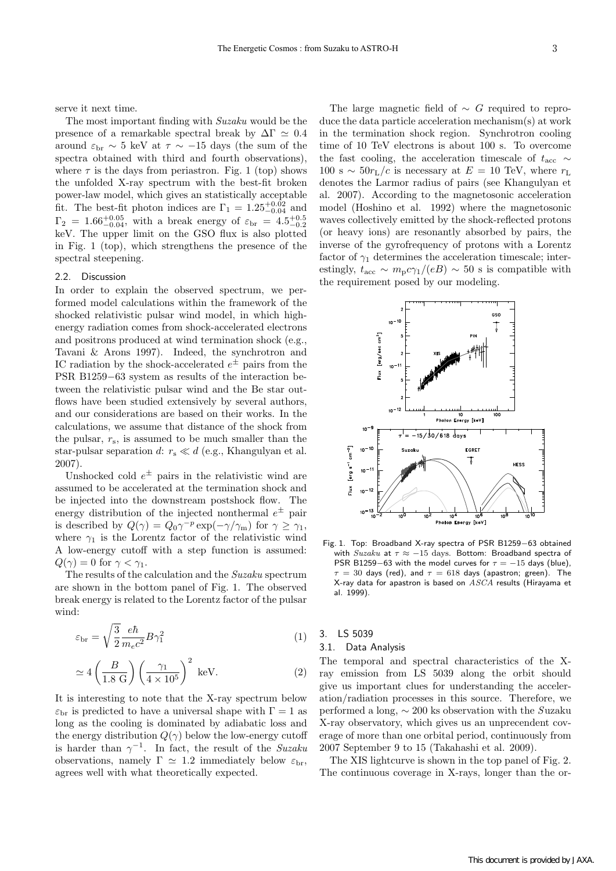serve it next time.

The most important finding with *Suzaku* would be the presence of a remarkable spectral break by  $\Delta\Gamma \simeq 0.4$ around  $\varepsilon$ <sub>br</sub>  $\sim$  5 keV at  $\tau \sim -15$  days (the sum of the spectra obtained with third and fourth observations), where  $\tau$  is the days from periastron. Fig. 1 (top) shows the unfolded X-ray spectrum with the best-fit broken power-law model, which gives an statistically acceptable fit. The best-fit photon indices are  $\Gamma_1 = 1.25_{-0.04}^{+0.02}$  and  $\Gamma_2 = 1.66^{+0.05}_{-0.04}$ , with a break energy of  $\varepsilon_{\rm br} = 4.5^{+0.5}_{-0.2}$ keV. The upper limit on the GSO flux is also plotted in Fig. 1 (top), which strengthens the presence of the spectral steepening.

#### 2.2. Discussion

In order to explain the observed spectrum, we performed model calculations within the framework of the shocked relativistic pulsar wind model, in which highenergy radiation comes from shock-accelerated electrons and positrons produced at wind termination shock (e.g., Tavani & Arons 1997). Indeed, the synchrotron and IC radiation by the shock-accelerated  $e^{\pm}$  pairs from the PSR B1259*−*63 system as results of the interaction between the relativistic pulsar wind and the Be star outflows have been studied extensively by several authors, and our considerations are based on their works. In the calculations, we assume that distance of the shock from the pulsar,  $r_s$ , is assumed to be much smaller than the star-pulsar separation *d*:  $r_s \ll d$  (e.g., Khangulyan et al. 2007).

Unshocked cold  $e^{\pm}$  pairs in the relativistic wind are assumed to be accelerated at the termination shock and be injected into the downstream postshock flow. The energy distribution of the injected nonthermal  $e^{\pm}$  pair is described by  $Q(\gamma) = Q_0 \gamma^{-p} \exp(-\gamma/\gamma_m)$  for  $\gamma \geq \gamma_1$ , where  $\gamma_1$  is the Lorentz factor of the relativistic wind A low-energy cutoff with a step function is assumed:  $Q(\gamma) = 0$  for  $\gamma < \gamma_1$ .

The results of the calculation and the *Suzaku* spectrum are shown in the bottom panel of Fig. 1. The observed break energy is related to the Lorentz factor of the pulsar wind:

$$
\varepsilon_{\rm br} = \sqrt{\frac{3}{2}} \frac{e\hbar}{m_e c^2} B\gamma_1^2 \tag{1}
$$

$$
\simeq 4\left(\frac{B}{1.8 \text{ G}}\right)\left(\frac{\gamma_1}{4 \times 10^5}\right)^2 \text{ keV}.
$$
 (2)

It is interesting to note that the X-ray spectrum below  $\varepsilon_{\rm br}$  is predicted to have a universal shape with  $\Gamma = 1$  as long as the cooling is dominated by adiabatic loss and the energy distribution  $Q(\gamma)$  below the low-energy cutoff is harder than  $\gamma^{-1}$ . In fact, the result of the *Suzaku* observations, namely  $\Gamma \simeq 1.2$  immediately below  $\varepsilon_{\rm br}$ , agrees well with what theoretically expected.

The large magnetic field of *∼ G* required to reproduce the data particle acceleration mechanism(s) at work in the termination shock region. Synchrotron cooling time of 10 TeV electrons is about 100 s. To overcome the fast cooling, the acceleration timescale of  $t_{\text{acc}} \sim$  $100 \text{ s} \sim 50 r_L/c$  is necessary at  $E = 10 \text{ TeV}$ , where  $r_L$ denotes the Larmor radius of pairs (see Khangulyan et al. 2007). According to the magnetosonic acceleration model (Hoshino et al. 1992) where the magnetosonic waves collectively emitted by the shock-reflected protons (or heavy ions) are resonantly absorbed by pairs, the inverse of the gyrofrequency of protons with a Lorentz factor of  $\gamma_1$  determines the acceleration timescale; interestingly,  $t_{\text{acc}} \sim m_{\text{p}} c \gamma_1 / (eB) \sim 50 \text{ s is compatible with}$ the requirement posed by our modeling.



Fig. 1. Top: Broadband X-ray spectra of PSR B1259*−*63 obtained with *Suzaku* at *τ ≈ −*15 days. Bottom: Broadband spectra of PSR B1259−63 with the model curves for  $\tau = -15$  days (blue),  $\tau = 30$  days (red), and  $\tau = 618$  days (apastron; green). The X-ray data for apastron is based on *ASCA* results (Hirayama et al. 1999).

3. LS 5039

#### 3.1. Data Analysis

The temporal and spectral characteristics of the Xray emission from LS 5039 along the orbit should give us important clues for understanding the acceleration/radiation processes in this source. Therefore, we performed a long, *∼* 200 ks observation with the *S*uzaku X-ray observatory, which gives us an unprecendent coverage of more than one orbital period, continuously from 2007 September 9 to 15 (Takahashi et al. 2009).

The XIS lightcurve is shown in the top panel of Fig. 2. The continuous coverage in X-rays, longer than the or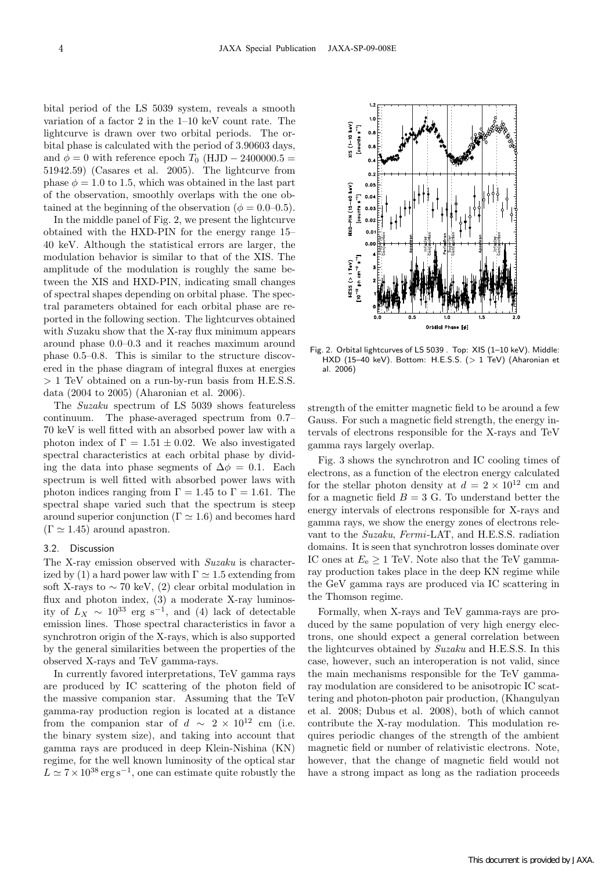bital period of the LS 5039 system, reveals a smooth variation of a factor 2 in the 1–10 keV count rate. The lightcurve is drawn over two orbital periods. The orbital phase is calculated with the period of 3.90603 days, and  $\phi = 0$  with reference epoch  $T_0$  (HJD  $-$  2400000.5 = 51942*.*59) (Casares et al. 2005). The lightcurve from phase  $\phi = 1.0$  to 1.5, which was obtained in the last part of the observation, smoothly overlaps with the one obtained at the beginning of the observation ( $\phi = 0.0{\text -}0.5$ ).

In the middle panel of Fig. 2, we present the lightcurve obtained with the HXD-PIN for the energy range 15– 40 keV. Although the statistical errors are larger, the modulation behavior is similar to that of the XIS. The amplitude of the modulation is roughly the same between the XIS and HXD-PIN, indicating small changes of spectral shapes depending on orbital phase. The spectral parameters obtained for each orbital phase are reported in the following section. The lightcurves obtained with *Suzaku* show that the X-ray flux minimum appears around phase 0.0–0.3 and it reaches maximum around phase 0.5–0.8. This is similar to the structure discovered in the phase diagram of integral fluxes at energies *>* 1 TeV obtained on a run-by-run basis from H.E.S.S. data (2004 to 2005) (Aharonian et al. 2006).

The *Suzaku* spectrum of LS 5039 shows featureless continuum. The phase-averaged spectrum from 0.7– 70 keV is well fitted with an absorbed power law with a photon index of  $\Gamma = 1.51 \pm 0.02$ . We also investigated spectral characteristics at each orbital phase by dividing the data into phase segments of  $\Delta \phi = 0.1$ . Each spectrum is well fitted with absorbed power laws with photon indices ranging from  $\Gamma = 1.45$  to  $\Gamma = 1.61$ . The spectral shape varied such that the spectrum is steep around superior conjunction ( $\Gamma \simeq 1.6$ ) and becomes hard  $(\Gamma \simeq 1.45)$  around apastron.

### 3.2. Discussion

The X-ray emission observed with *Suzaku* is characterized by (1) a hard power law with  $\Gamma \simeq 1.5$  extending from soft X-rays to  $\sim$  70 keV, (2) clear orbital modulation in flux and photon index, (3) a moderate X-ray luminosity of *<sup>L</sup><sup>X</sup> <sup>∼</sup>* <sup>10</sup><sup>33</sup> erg s*−*<sup>1</sup>, and (4) lack of detectable emission lines. Those spectral characteristics in favor a synchrotron origin of the X-rays, which is also supported by the general similarities between the properties of the observed X-rays and TeV gamma-rays.

In currently favored interpretations, TeV gamma rays are produced by IC scattering of the photon field of the massive companion star. Assuming that the TeV gamma-ray production region is located at a distance from the companion star of  $d \sim 2 \times 10^{12}$  cm (i.e. the binary system size), and taking into account that gamma rays are produced in deep Klein-Nishina (KN) regime, for the well known luminosity of the optical star  $L \approx 7 \times 10^{38} \text{ erg s}^{-1}$ , one can estimate quite robustly the



Fig. 2. Orbital lightcurves of LS 5039 . Top: XIS (1–10 keV). Middle: HXD (15–40 keV). Bottom: H.E.S.S. (*>* 1 TeV) (Aharonian et al. 2006)

strength of the emitter magnetic field to be around a few Gauss. For such a magnetic field strength, the energy intervals of electrons responsible for the X-rays and TeV gamma rays largely overlap.

Fig. 3 shows the synchrotron and IC cooling times of electrons, as a function of the electron energy calculated for the stellar photon density at  $d = 2 \times 10^{12}$  cm and for a magnetic field  $B = 3$  G. To understand better the energy intervals of electrons responsible for X-rays and gamma rays, we show the energy zones of electrons relevant to the *Suzaku*, *Fermi*-LAT, and H.E.S.S. radiation domains. It is seen that synchrotron losses dominate over IC ones at  $E_e \geq 1$  TeV. Note also that the TeV gammaray production takes place in the deep KN regime while the GeV gamma rays are produced via IC scattering in the Thomson regime.

Formally, when X-rays and TeV gamma-rays are produced by the same population of very high energy electrons, one should expect a general correlation between the lightcurves obtained by *Suzaku* and H.E.S.S. In this case, however, such an interoperation is not valid, since the main mechanisms responsible for the TeV gammaray modulation are considered to be anisotropic IC scattering and photon-photon pair production, (Khangulyan et al. 2008; Dubus et al. 2008), both of which cannot contribute the X-ray modulation. This modulation requires periodic changes of the strength of the ambient magnetic field or number of relativistic electrons. Note, however, that the change of magnetic field would not have a strong impact as long as the radiation proceeds